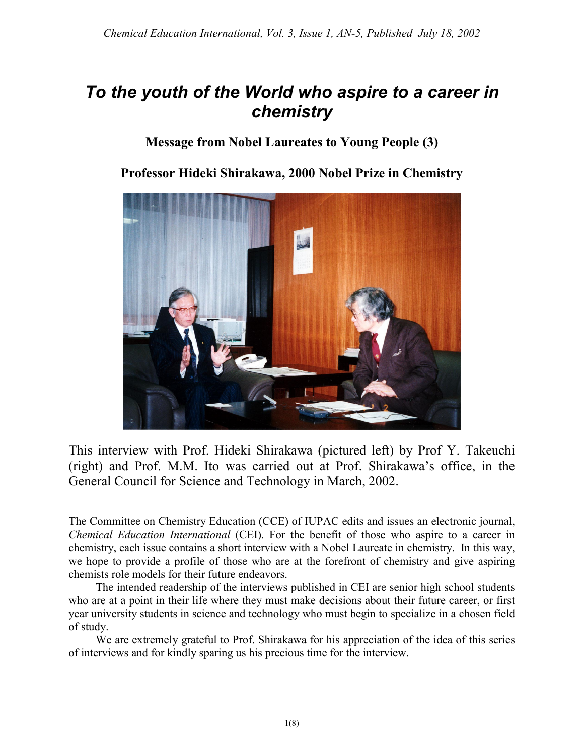## *To the youth of the World who aspire to a career in chemistry*

## **Message from Nobel Laureates to Young People (3)**

**Professor Hideki Shirakawa, 2000 Nobel Prize in Chemistry**



This interview with Prof. Hideki Shirakawa (pictured left) by Prof Y. Takeuchi (right) and Prof. M.M. Ito was carried out at Prof. Shirakawa's office, in the General Council for Science and Technology in March, 2002.

The Committee on Chemistry Education (CCE) of IUPAC edits and issues an electronic journal, *Chemical Education International* (CEI). For the benefit of those who aspire to a career in chemistry, each issue contains a short interview with a Nobel Laureate in chemistry. In this way, we hope to provide a profile of those who are at the forefront of chemistry and give aspiring chemists role models for their future endeavors.

The intended readership of the interviews published in CEI are senior high school students who are at a point in their life where they must make decisions about their future career, or first year university students in science and technology who must begin to specialize in a chosen field of study.

We are extremely grateful to Prof. Shirakawa for his appreciation of the idea of this series of interviews and for kindly sparing us his precious time for the interview.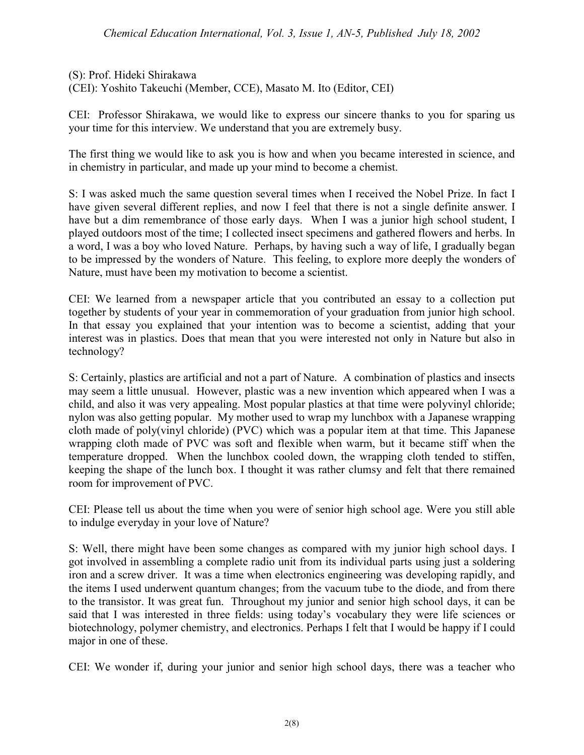(S): Prof. Hideki Shirakawa (CEI): Yoshito Takeuchi (Member, CCE), Masato M. Ito (Editor, CEI)

CEI: Professor Shirakawa, we would like to express our sincere thanks to you for sparing us your time for this interview. We understand that you are extremely busy.

The first thing we would like to ask you is how and when you became interested in science, and in chemistry in particular, and made up your mind to become a chemist.

S: I was asked much the same question several times when I received the Nobel Prize. In fact I have given several different replies, and now I feel that there is not a single definite answer. I have but a dim remembrance of those early days. When I was a junior high school student, I played outdoors most of the time; I collected insect specimens and gathered flowers and herbs. In a word, I was a boy who loved Nature. Perhaps, by having such a way of life, I gradually began to be impressed by the wonders of Nature. This feeling, to explore more deeply the wonders of Nature, must have been my motivation to become a scientist.

CEI: We learned from a newspaper article that you contributed an essay to a collection put together by students of your year in commemoration of your graduation from junior high school. In that essay you explained that your intention was to become a scientist, adding that your interest was in plastics. Does that mean that you were interested not only in Nature but also in technology?

S: Certainly, plastics are artificial and not a part of Nature. A combination of plastics and insects may seem a little unusual. However, plastic was a new invention which appeared when I was a child, and also it was very appealing. Most popular plastics at that time were polyvinyl chloride; nylon was also getting popular. My mother used to wrap my lunchbox with a Japanese wrapping cloth made of poly(vinyl chloride) (PVC) which was a popular item at that time. This Japanese wrapping cloth made of PVC was soft and flexible when warm, but it became stiff when the temperature dropped. When the lunchbox cooled down, the wrapping cloth tended to stiffen, keeping the shape of the lunch box. I thought it was rather clumsy and felt that there remained room for improvement of PVC.

CEI: Please tell us about the time when you were of senior high school age. Were you still able to indulge everyday in your love of Nature?

S: Well, there might have been some changes as compared with my junior high school days. I got involved in assembling a complete radio unit from its individual parts using just a soldering iron and a screw driver. It was a time when electronics engineering was developing rapidly, and the items I used underwent quantum changes; from the vacuum tube to the diode, and from there to the transistor. It was great fun. Throughout my junior and senior high school days, it can be said that I was interested in three fields: using today's vocabulary they were life sciences or biotechnology, polymer chemistry, and electronics. Perhaps I felt that I would be happy if I could major in one of these.

CEI: We wonder if, during your junior and senior high school days, there was a teacher who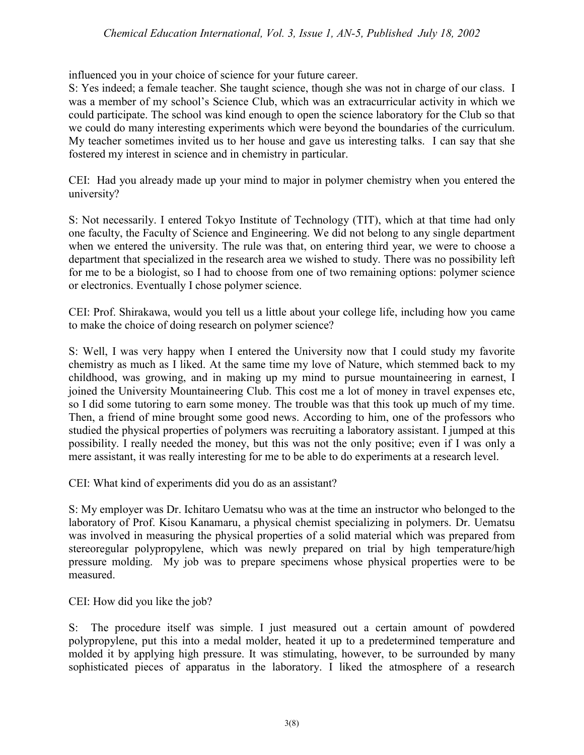## *Chemical Education International, Vol. 3, Issue 1, AN-5, Published July 18, 2002*

influenced you in your choice of science for your future career.

S: Yes indeed; a female teacher. She taught science, though she was not in charge of our class. I was a member of my school's Science Club, which was an extracurricular activity in which we could participate. The school was kind enough to open the science laboratory for the Club so that we could do many interesting experiments which were beyond the boundaries of the curriculum. My teacher sometimes invited us to her house and gave us interesting talks. I can say that she fostered my interest in science and in chemistry in particular.

CEI: Had you already made up your mind to major in polymer chemistry when you entered the university?

S: Not necessarily. I entered Tokyo Institute of Technology (TIT), which at that time had only one faculty, the Faculty of Science and Engineering. We did not belong to any single department when we entered the university. The rule was that, on entering third year, we were to choose a department that specialized in the research area we wished to study. There was no possibility left for me to be a biologist, so I had to choose from one of two remaining options: polymer science or electronics. Eventually I chose polymer science.

CEI: Prof. Shirakawa, would you tell us a little about your college life, including how you came to make the choice of doing research on polymer science?

S: Well, I was very happy when I entered the University now that I could study my favorite chemistry as much as I liked. At the same time my love of Nature, which stemmed back to my childhood, was growing, and in making up my mind to pursue mountaineering in earnest, I joined the University Mountaineering Club. This cost me a lot of money in travel expenses etc, so I did some tutoring to earn some money. The trouble was that this took up much of my time. Then, a friend of mine brought some good news. According to him, one of the professors who studied the physical properties of polymers was recruiting a laboratory assistant. I jumped at this possibility. I really needed the money, but this was not the only positive; even if I was only a mere assistant, it was really interesting for me to be able to do experiments at a research level.

CEI: What kind of experiments did you do as an assistant?

S: My employer was Dr. Ichitaro Uematsu who was at the time an instructor who belonged to the laboratory of Prof. Kisou Kanamaru, a physical chemist specializing in polymers. Dr. Uematsu was involved in measuring the physical properties of a solid material which was prepared from stereoregular polypropylene, which was newly prepared on trial by high temperature/high pressure molding. My job was to prepare specimens whose physical properties were to be measured.

CEI: How did you like the job?

S: The procedure itself was simple. I just measured out a certain amount of powdered polypropylene, put this into a medal molder, heated it up to a predetermined temperature and molded it by applying high pressure. It was stimulating, however, to be surrounded by many sophisticated pieces of apparatus in the laboratory. I liked the atmosphere of a research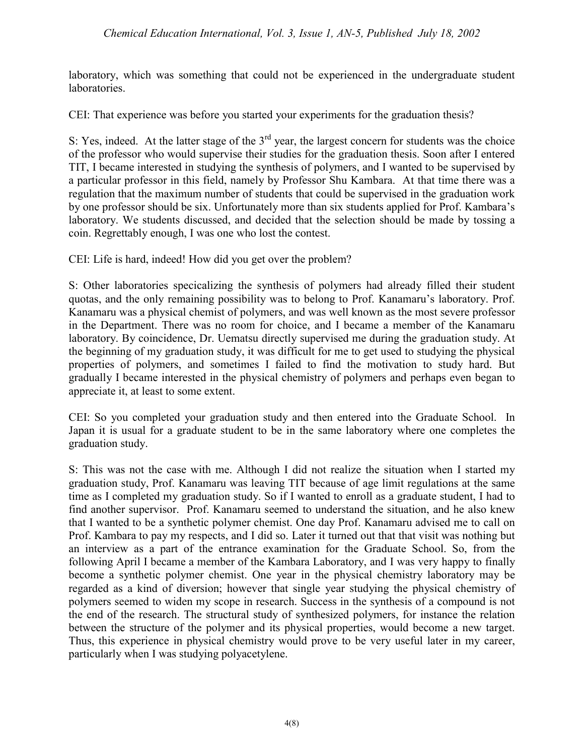laboratory, which was something that could not be experienced in the undergraduate student laboratories.

CEI: That experience was before you started your experiments for the graduation thesis?

S: Yes, indeed. At the latter stage of the  $3<sup>rd</sup>$  year, the largest concern for students was the choice of the professor who would supervise their studies for the graduation thesis. Soon after I entered TIT, I became interested in studying the synthesis of polymers, and I wanted to be supervised by a particular professor in this field, namely by Professor Shu Kambara. At that time there was a regulation that the maximum number of students that could be supervised in the graduation work by one professor should be six. Unfortunately more than six students applied for Prof. Kambara's laboratory. We students discussed, and decided that the selection should be made by tossing a coin. Regrettably enough, I was one who lost the contest.

CEI: Life is hard, indeed! How did you get over the problem?

S: Other laboratories specicalizing the synthesis of polymers had already filled their student quotas, and the only remaining possibility was to belong to Prof. Kanamaru's laboratory. Prof. Kanamaru was a physical chemist of polymers, and was well known as the most severe professor in the Department. There was no room for choice, and I became a member of the Kanamaru laboratory. By coincidence, Dr. Uematsu directly supervised me during the graduation study. At the beginning of my graduation study, it was difficult for me to get used to studying the physical properties of polymers, and sometimes I failed to find the motivation to study hard. But gradually I became interested in the physical chemistry of polymers and perhaps even began to appreciate it, at least to some extent.

CEI: So you completed your graduation study and then entered into the Graduate School. In Japan it is usual for a graduate student to be in the same laboratory where one completes the graduation study.

S: This was not the case with me. Although I did not realize the situation when I started my graduation study, Prof. Kanamaru was leaving TIT because of age limit regulations at the same time as I completed my graduation study. So if I wanted to enroll as a graduate student, I had to find another supervisor. Prof. Kanamaru seemed to understand the situation, and he also knew that I wanted to be a synthetic polymer chemist. One day Prof. Kanamaru advised me to call on Prof. Kambara to pay my respects, and I did so. Later it turned out that that visit was nothing but an interview as a part of the entrance examination for the Graduate School. So, from the following April I became a member of the Kambara Laboratory, and I was very happy to finally become a synthetic polymer chemist. One year in the physical chemistry laboratory may be regarded as a kind of diversion; however that single year studying the physical chemistry of polymers seemed to widen my scope in research. Success in the synthesis of a compound is not the end of the research. The structural study of synthesized polymers, for instance the relation between the structure of the polymer and its physical properties, would become a new target. Thus, this experience in physical chemistry would prove to be very useful later in my career, particularly when I was studying polyacetylene.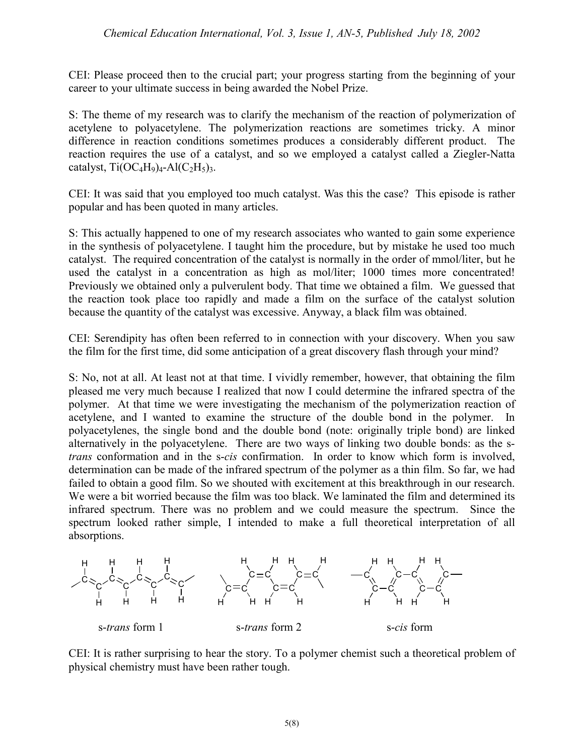CEI: Please proceed then to the crucial part; your progress starting from the beginning of your career to your ultimate success in being awarded the Nobel Prize.

S: The theme of my research was to clarify the mechanism of the reaction of polymerization of acetylene to polyacetylene. The polymerization reactions are sometimes tricky. A minor difference in reaction conditions sometimes produces a considerably different product. The reaction requires the use of a catalyst, and so we employed a catalyst called a Ziegler-Natta catalyst,  $Ti(OC<sub>4</sub>H<sub>9</sub>)<sub>4</sub> - Al(C<sub>2</sub>H<sub>5</sub>)<sub>3</sub>$ .

CEI: It was said that you employed too much catalyst. Was this the case? This episode is rather popular and has been quoted in many articles.

S: This actually happened to one of my research associates who wanted to gain some experience in the synthesis of polyacetylene. I taught him the procedure, but by mistake he used too much catalyst. The required concentration of the catalyst is normally in the order of mmol/liter, but he used the catalyst in a concentration as high as mol/liter; 1000 times more concentrated! Previously we obtained only a pulverulent body. That time we obtained a film. We guessed that the reaction took place too rapidly and made a film on the surface of the catalyst solution because the quantity of the catalyst was excessive. Anyway, a black film was obtained.

CEI: Serendipity has often been referred to in connection with your discovery. When you saw the film for the first time, did some anticipation of a great discovery flash through your mind?

S: No, not at all. At least not at that time. I vividly remember, however, that obtaining the film pleased me very much because I realized that now I could determine the infrared spectra of the polymer. At that time we were investigating the mechanism of the polymerization reaction of acetylene, and I wanted to examine the structure of the double bond in the polymer. In polyacetylenes, the single bond and the double bond (note: originally triple bond) are linked alternatively in the polyacetylene. There are two ways of linking two double bonds: as the s*trans* conformation and in the s-*cis* confirmation. In order to know which form is involved, determination can be made of the infrared spectrum of the polymer as a thin film. So far, we had failed to obtain a good film. So we shouted with excitement at this breakthrough in our research. We were a bit worried because the film was too black. We laminated the film and determined its infrared spectrum. There was no problem and we could measure the spectrum. Since the spectrum looked rather simple, I intended to make a full theoretical interpretation of all absorptions.



CEI: It is rather surprising to hear the story. To a polymer chemist such a theoretical problem of physical chemistry must have been rather tough.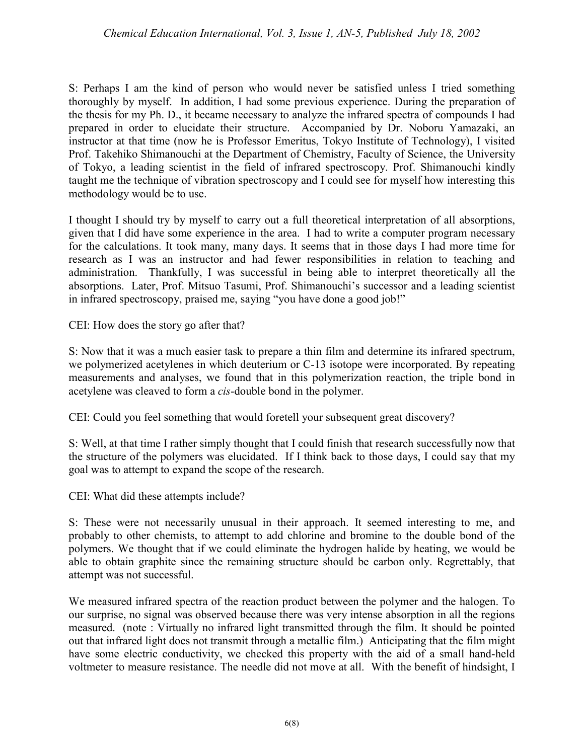S: Perhaps I am the kind of person who would never be satisfied unless I tried something thoroughly by myself. In addition, I had some previous experience. During the preparation of the thesis for my Ph. D., it became necessary to analyze the infrared spectra of compounds I had prepared in order to elucidate their structure. Accompanied by Dr. Noboru Yamazaki, an instructor at that time (now he is Professor Emeritus, Tokyo Institute of Technology), I visited Prof. Takehiko Shimanouchi at the Department of Chemistry, Faculty of Science, the University of Tokyo, a leading scientist in the field of infrared spectroscopy. Prof. Shimanouchi kindly taught me the technique of vibration spectroscopy and I could see for myself how interesting this methodology would be to use.

I thought I should try by myself to carry out a full theoretical interpretation of all absorptions, given that I did have some experience in the area. I had to write a computer program necessary for the calculations. It took many, many days. It seems that in those days I had more time for research as I was an instructor and had fewer responsibilities in relation to teaching and administration. Thankfully, I was successful in being able to interpret theoretically all the absorptions. Later, Prof. Mitsuo Tasumi, Prof. Shimanouchi's successor and a leading scientist in infrared spectroscopy, praised me, saying "you have done a good job!"

CEI: How does the story go after that?

S: Now that it was a much easier task to prepare a thin film and determine its infrared spectrum, we polymerized acetylenes in which deuterium or C-13 isotope were incorporated. By repeating measurements and analyses, we found that in this polymerization reaction, the triple bond in acetylene was cleaved to form a *cis*-double bond in the polymer.

CEI: Could you feel something that would foretell your subsequent great discovery?

S: Well, at that time I rather simply thought that I could finish that research successfully now that the structure of the polymers was elucidated. If I think back to those days, I could say that my goal was to attempt to expand the scope of the research.

CEI: What did these attempts include?

S: These were not necessarily unusual in their approach. It seemed interesting to me, and probably to other chemists, to attempt to add chlorine and bromine to the double bond of the polymers. We thought that if we could eliminate the hydrogen halide by heating, we would be able to obtain graphite since the remaining structure should be carbon only. Regrettably, that attempt was not successful.

We measured infrared spectra of the reaction product between the polymer and the halogen. To our surprise, no signal was observed because there was very intense absorption in all the regions measured. (note : Virtually no infrared light transmitted through the film. It should be pointed out that infrared light does not transmit through a metallic film.) Anticipating that the film might have some electric conductivity, we checked this property with the aid of a small hand-held voltmeter to measure resistance. The needle did not move at all. With the benefit of hindsight, I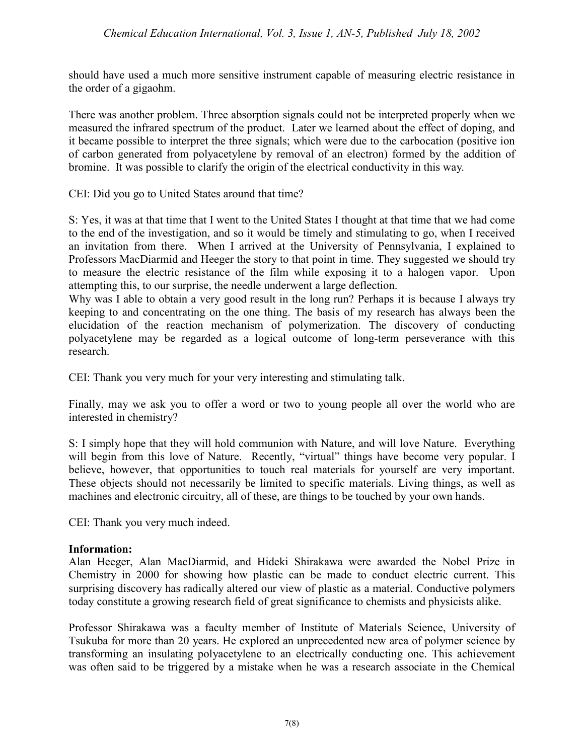should have used a much more sensitive instrument capable of measuring electric resistance in the order of a gigaohm.

There was another problem. Three absorption signals could not be interpreted properly when we measured the infrared spectrum of the product. Later we learned about the effect of doping, and it became possible to interpret the three signals; which were due to the carbocation (positive ion of carbon generated from polyacetylene by removal of an electron) formed by the addition of bromine. It was possible to clarify the origin of the electrical conductivity in this way.

CEI: Did you go to United States around that time?

S: Yes, it was at that time that I went to the United States I thought at that time that we had come to the end of the investigation, and so it would be timely and stimulating to go, when I received an invitation from there. When I arrived at the University of Pennsylvania, I explained to Professors MacDiarmid and Heeger the story to that point in time. They suggested we should try to measure the electric resistance of the film while exposing it to a halogen vapor. Upon attempting this, to our surprise, the needle underwent a large deflection.

Why was I able to obtain a very good result in the long run? Perhaps it is because I always try keeping to and concentrating on the one thing. The basis of my research has always been the elucidation of the reaction mechanism of polymerization. The discovery of conducting polyacetylene may be regarded as a logical outcome of long-term perseverance with this research.

CEI: Thank you very much for your very interesting and stimulating talk.

Finally, may we ask you to offer a word or two to young people all over the world who are interested in chemistry?

S: I simply hope that they will hold communion with Nature, and will love Nature. Everything will begin from this love of Nature. Recently, "virtual" things have become very popular. I believe, however, that opportunities to touch real materials for yourself are very important. These objects should not necessarily be limited to specific materials. Living things, as well as machines and electronic circuitry, all of these, are things to be touched by your own hands.

CEI: Thank you very much indeed.

## **Information:**

Alan Heeger, Alan MacDiarmid, and Hideki Shirakawa were awarded the Nobel Prize in Chemistry in 2000 for showing how plastic can be made to conduct electric current. This surprising discovery has radically altered our view of plastic as a material. Conductive polymers today constitute a growing research field of great significance to chemists and physicists alike.

Professor Shirakawa was a faculty member of Institute of Materials Science, University of Tsukuba for more than 20 years. He explored an unprecedented new area of polymer science by transforming an insulating polyacetylene to an electrically conducting one. This achievement was often said to be triggered by a mistake when he was a research associate in the Chemical